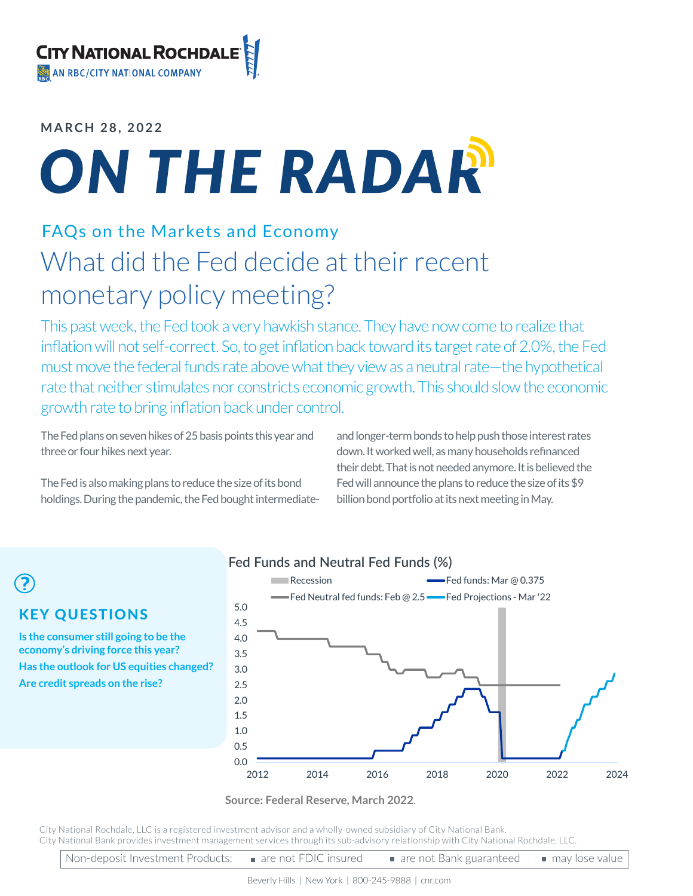## **MARCH 28, 2022**

# ON THE RADAR

# FAQs on the Markets and Economy What did the Fed decide at their recent monetary policy meeting?

This past week, the Fed took a very hawkish stance. They have now come to realize that inflation will not self-correct. So, to get inflation back toward its target rate of 2.0%, the Fed must move the federal funds rate above what they view as a neutral rate—the hypothetical rate that neither stimulates nor constricts economic growth. This should slow the economic growth rate to bring inflation back under control.

The Fed plans on seven hikes of 25 basis points this year and three or four hikes next year.

The Fed is also making plans to reduce the size of its bond holdings. During the pandemic, the Fed bought intermediateand longer-term bonds to help push those interest rates down. It worked well, as many households refinanced their debt. That is not needed anymore. It is believed the Fed will announce the plans to reduce the size of its \$9 billion bond portfolio at its next meeting in May.

#### KEY QUESTIONS **Is the consumer still going to be the economy's driving force this year? Has the outlook for US equities changed? Are credit spreads on the rise?** 0.0 0.5 1.0 1.5 2.0 2.5 3.0 3.5 4.0 4.5 5.0 Recession **Fed funds: Mar @ 0.375** Fed Neutral fed funds: Feb @ 2.5 - Fed Projections - Mar '22

**Fed Funds and Neutral Fed Funds (%)**

### 2012 2014 2016 2018 2020 2022 2024

#### **Source: Federal Reserve, March 2022**.

City National Rochdale, LLC is a registered investment advisor and a wholly-owned subsidiary of City National Bank. City National Bank provides investment management services through its sub-advisory relationship with City National Rochdale, LLC.

|  | Non-deposit Investment Products: ■ are not FDIC insured |  | are not Bank guaranteed a may lose value |  |
|--|---------------------------------------------------------|--|------------------------------------------|--|
|--|---------------------------------------------------------|--|------------------------------------------|--|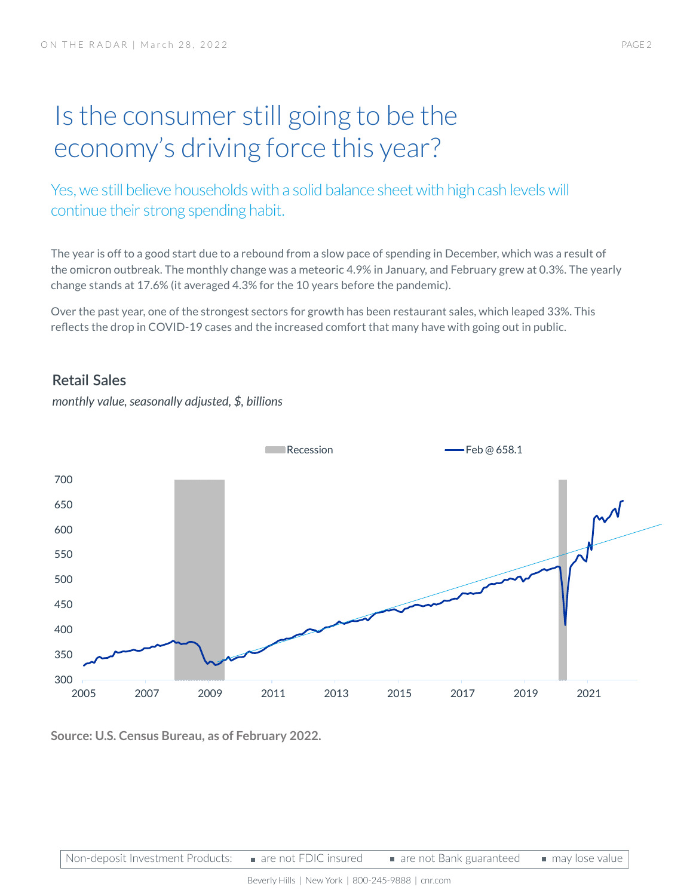# Is the consumer still going to be the economy's driving force this year?

Yes, we still believe households with a solid balance sheet with high cash levels will continue their strong spending habit.

The year is off to a good start due to a rebound from a slow pace of spending in December, which was a result of the omicron outbreak. The monthly change was a meteoric 4.9% in January, and February grew at 0.3%. The yearly change stands at 17.6% (it averaged 4.3% for the 10 years before the pandemic).

Over the past year, one of the strongest sectors for growth has been restaurant sales, which leaped 33%. This reflects the drop in COVID-19 cases and the increased comfort that many have with going out in public.

# **Retail Sales**



*monthly value, seasonally adjusted, \$, billions*

**Source: U.S. Census Bureau, as of February 2022.**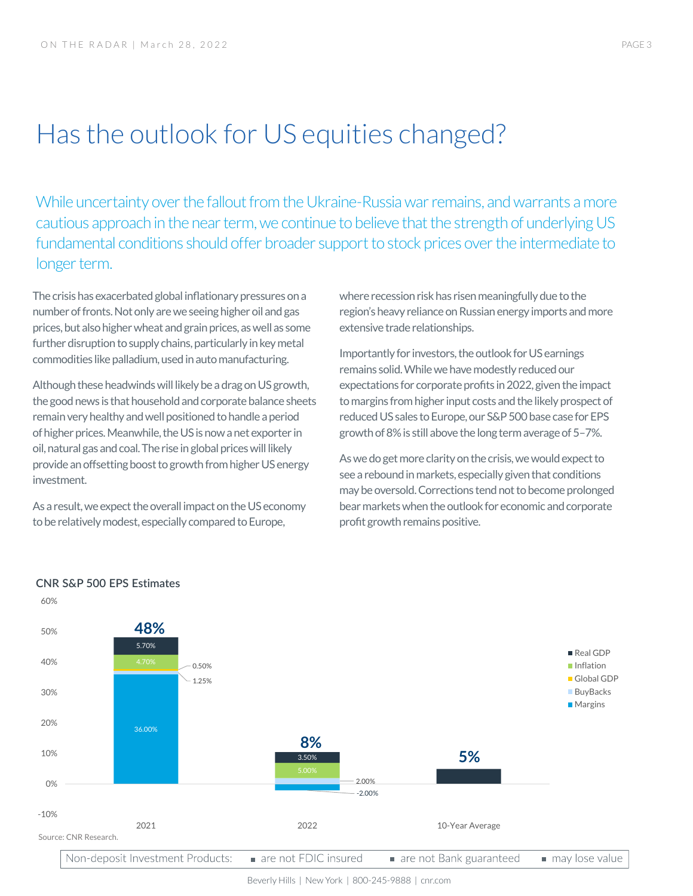# Has the outlook for US equities changed?

While uncertainty over the fallout from the Ukraine-Russia war remains, and warrants a more cautious approach in the near term, we continue to believe that the strength of underlying US fundamental conditions should offer broader support to stock prices over the intermediate to longer term.

The crisis has exacerbated global inflationary pressures on a number of fronts. Not only are we seeing higher oil and gas prices, but also higher wheat and grain prices, as well as some further disruption to supply chains, particularly in key metal commodities like palladium, used in auto manufacturing.

Although these headwinds will likely be a drag on US growth, the good news is that household and corporate balance sheets remain very healthy and well positioned to handle a period of higher prices. Meanwhile, the US is now a net exporter in oil, natural gas and coal. The rise in global prices will likely provide an offsetting boost to growth from higher US energy investment.

As a result, we expect the overall impact on the US economy to be relatively modest, especially compared to Europe,

where recession risk has risen meaningfully due to the region's heavy reliance on Russian energy imports and more extensive trade relationships.

Importantly for investors, the outlook for US earnings remains solid. While we have modestly reduced our expectations for corporate profits in 2022, given the impact to margins from higher input costs and the likely prospect of reduced US sales to Europe, our S&P 500 base case for EPS growth of 8% is still above the long term average of 5–7%.

As we do get more clarity on the crisis, we would expect to see a rebound in markets, especially given that conditions may be oversold. Corrections tend not to become prolonged bear markets when the outlook for economic and corporate profit growth remains positive.



#### **CNR S&P 500 EPS Estimates**

60%

Beverly Hills | New York | 800-245-9888 | cnr.com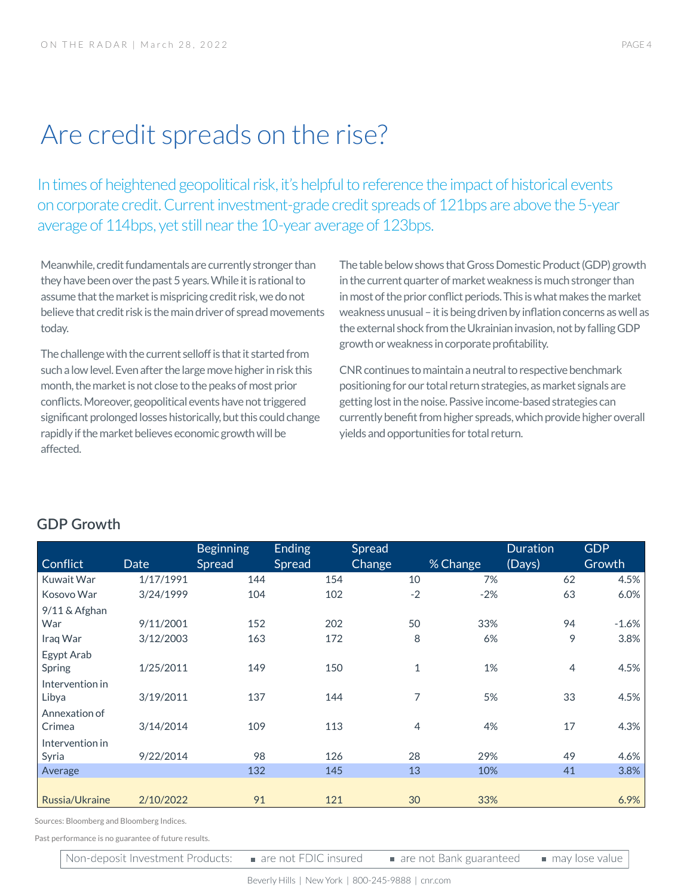# Are credit spreads on the rise?

In times of heightened geopolitical risk, it's helpful to reference the impact of historical events on corporate credit. Current investment-grade credit spreads of 121bps are above the 5-year average of 114bps, yet still near the 10-year average of 123bps.

Meanwhile, credit fundamentals are currently stronger than they have been over the past 5 years. While it is rational to assume that the market is mispricing credit risk, we do not believe that credit risk is the main driver of spread movements today.

The challenge with the current selloff is that it started from such a low level. Even after the large move higher in risk this month, the market is not close to the peaks of most prior conflicts. Moreover, geopolitical events have not triggered significant prolonged losses historically, but this could change rapidly if the market believes economic growth will be affected.

The table below shows that Gross Domestic Product (GDP) growth in the current quarter of market weakness is much stronger than in most of the prior conflict periods. This is what makes the market weakness unusual – it is being driven by inflation concerns as well as the external shock from the Ukrainian invasion, not by falling GDP growth or weakness in corporate profitability.

CNR continues to maintain a neutral to respective benchmark positioning for our total return strategies, as market signals are getting lost in the noise. Passive income-based strategies can currently benefit from higher spreads, which provide higher overall yields and opportunities for total return.

| <b>Date</b> | Spread                                    | Spread | <b>Change</b> | % Change | <b>Duration</b><br>(Days) | <b>GDP</b><br>Growth |
|-------------|-------------------------------------------|--------|---------------|----------|---------------------------|----------------------|
| 1/17/1991   | 144                                       | 154    | 10            | 7%       | 62                        | 4.5%                 |
| 3/24/1999   | 104                                       | 102    | $-2$          | $-2%$    | 63                        | 6.0%                 |
|             |                                           |        |               |          |                           |                      |
| 9/11/2001   | 152                                       | 202    | 50            | 33%      | 94                        | $-1.6%$              |
| 3/12/2003   | 163                                       | 172    | 8             | 6%       | 9                         | 3.8%                 |
| 1/25/2011   | 149                                       | 150    | $\mathbf{1}$  | 1%       | $\overline{4}$            | 4.5%                 |
| 3/19/2011   | 137                                       | 144    | 7             | 5%       | 33                        | 4.5%                 |
| 3/14/2014   | 109                                       | 113    | 4             | 4%       | 17                        | 4.3%                 |
| 9/22/2014   | 98                                        | 126    | 28            | 29%      | 49                        | 4.6%                 |
|             | 132                                       | 145    | 13            | 10%      | 41                        | 3.8%                 |
| 2/10/2022   | 91                                        | 121    | 30            | 33%      |                           | 6.9%                 |
|             | Sources: Bloomberg and Bloomberg Indices. |        |               |          |                           |                      |

## **GDP Growth**

Past performance is no guarantee of future results.

Non-deposit Investment Products:

are not FDIC insured

are not Bank guaranteed